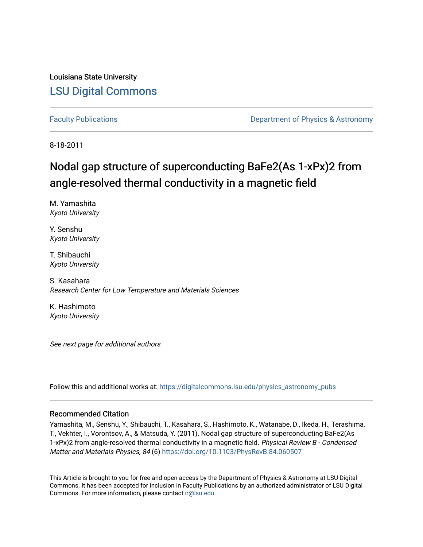Louisiana State University [LSU Digital Commons](https://digitalcommons.lsu.edu/)

[Faculty Publications](https://digitalcommons.lsu.edu/physics_astronomy_pubs) **Exercise 2 and Table 2 and Table 2 and Table 2 and Table 2 and Table 2 and Table 2 and Table 2 and Table 2 and Table 2 and Table 2 and Table 2 and Table 2 and Table 2 and Table 2 and Table 2 and Table** 

8-18-2011

## Nodal gap structure of superconducting BaFe2(As 1-xPx)2 from angle-resolved thermal conductivity in a magnetic field

M. Yamashita Kyoto University

Y. Senshu Kyoto University

T. Shibauchi Kyoto University

S. Kasahara Research Center for Low Temperature and Materials Sciences

K. Hashimoto Kyoto University

See next page for additional authors

Follow this and additional works at: [https://digitalcommons.lsu.edu/physics\\_astronomy\\_pubs](https://digitalcommons.lsu.edu/physics_astronomy_pubs?utm_source=digitalcommons.lsu.edu%2Fphysics_astronomy_pubs%2F5430&utm_medium=PDF&utm_campaign=PDFCoverPages) 

## Recommended Citation

Yamashita, M., Senshu, Y., Shibauchi, T., Kasahara, S., Hashimoto, K., Watanabe, D., Ikeda, H., Terashima, T., Vekhter, I., Vorontsov, A., & Matsuda, Y. (2011). Nodal gap structure of superconducting BaFe2(As 1-xPx)2 from angle-resolved thermal conductivity in a magnetic field. Physical Review B - Condensed Matter and Materials Physics, 84 (6) https://doi.org/10.1103/PhysRevB.84.060507

This Article is brought to you for free and open access by the Department of Physics & Astronomy at LSU Digital Commons. It has been accepted for inclusion in Faculty Publications by an authorized administrator of LSU Digital Commons. For more information, please contact [ir@lsu.edu](mailto:ir@lsu.edu).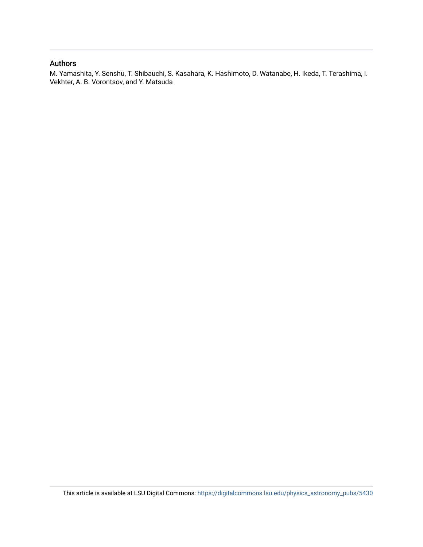## Authors

M. Yamashita, Y. Senshu, T. Shibauchi, S. Kasahara, K. Hashimoto, D. Watanabe, H. Ikeda, T. Terashima, I. Vekhter, A. B. Vorontsov, and Y. Matsuda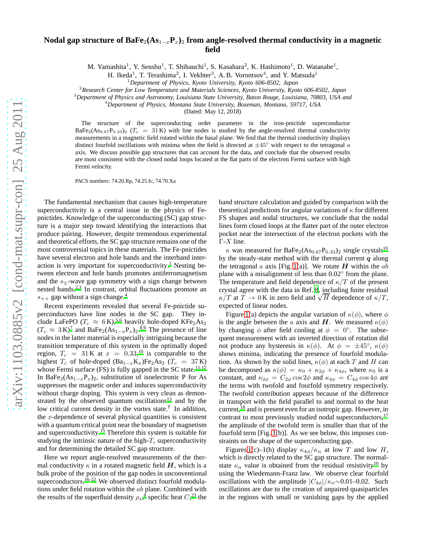## **Nodal gap structure of BaFe**2**(As**1−x**P**x**)**<sup>2</sup> **from angle-resolved thermal conductivity in a magnetic field**

M. Yamashita<sup>1</sup>, Y. Senshu<sup>1</sup>, T. Shibauchi<sup>1</sup>, S. Kasahara<sup>2</sup>, K. Hashimoto<sup>1</sup>, D. Watanabe<sup>1</sup>,

H. Ikeda<sup>1</sup>, T. Terashima<sup>2</sup>, I. Vekhter<sup>3</sup>, A.B. Vorontsov<sup>4</sup>, and Y. Matsuda<sup>1</sup>

<sup>1</sup>*Department of Physics, Kyoto University, Kyoto 606-8502, Japan*

<sup>2</sup>*Research Center for Low Temperature and Materials Sciences, Kyoto University, Kyoto 606-8502, Japan*

<sup>3</sup>*Department of Physics and Astronomy, Louisiana State University, Baton Rouge, Louisiana, 70803, USA and*

<sup>4</sup>*Department of Physics, Montana State University, Bozeman, Montana, 59717, USA*

(Dated: May 12, 2018)

The structure of the superconducting order parameter in the iron-pnictide superconductor BaFe<sub>2</sub>(As<sub>0.67</sub>P<sub>0.33</sub>)<sub>2</sub> (T<sub>c</sub> = 31 K) with line nodes is studied by the angle-resolved thermal conductivity measurements in a magnetic field rotated within the basal plane. We find that the thermal conductivity displays distinct fourfold oscillations with minima when the field is directed at  $\pm 45^\circ$  with respect to the tetragonal a axis. We discuss possible gap structures that can account for the data, and conclude that the observed results are most consistent with the closed nodal loops located at the flat parts of the electron Fermi surface with high Fermi velocity.

PACS numbers: 74.20.Rp, 74.25.fc, 74.70.Xa

The fundamental mechanism that causes high-temperature superconductivity is a central issue in the physics of Fepnictides. Knowledge of the superconducting (SC) gap structure is a major step toward identifying the interactions that produce pairing. However, despite tremendous experimental and theoretical efforts, the SC gap structure remains one of the most controversial topics in these materials. The Fe-pnictides have several electron and hole bands and the interband inter-action is very important for superconductivity.<sup>[1](#page-5-0)</sup> Nesting between electron and hole bands promotes antiferromagnetism and the  $s_{\pm}$ -wave gap symmetry with a sign change between nested bands.[2](#page-5-1)[,3](#page-5-2) In contrast, orbital fluctuations promote an  $s_{++}$  gap without a sign change.<sup>[4](#page-5-3)</sup>

Recent experiments revealed that several Fe-pnictide superconductors have line nodes in the SC gap. They include LaFePO ( $T_c \approx 6$  K)[,](#page-5-4)<sup>5[,6](#page-5-5)</sup> heavily hole-doped KFe<sub>2</sub>As<sub>2</sub>  $(T_c \approx 3 \text{ K})^7$  $(T_c \approx 3 \text{ K})^7$  and BaFe<sub>2</sub>(As<sub>1-x</sub>P<sub>x</sub>)<sub>2</sub>.<sup>[8](#page-5-7)[,9](#page-5-8)</sup> The presence of line nodes in the latter material is especially intriguing because the transition temperature of this system in the optimally doped region[,](#page-5-9)  $T_c = 31 \text{ K}$  at  $x = 0.33, ^{10}$  is comparable to the highest  $T_c$  of hole-doped (Ba<sub>1−x</sub>K<sub>x</sub>)Fe<sub>2</sub>As<sub>2</sub> ( $T_c$  = 37K) whose Fermi surface (FS) is fully gapped in the SC state. $11,12$  $11,12$ In BaFe<sub>2</sub>(As<sub>1-x</sub>P<sub>x</sub>)<sub>2</sub>, substitution of isoelectronic P for As suppresses the magnetic order and induces superconductivity without charge doping. This system is very clean as demonstrated by the observed quantum oscillations $13$  and by the low critical current density in the vortex state.**?** In addition, the  $x$ -dependence of several physical quantities is consistent with a quantum critical point near the boundary of magnetism and superconductivity.[15](#page-5-13) Therefore this system is suitable for studying the intrinsic nature of the high- $T_c$  superconductivity and for determining the detailed SC gap structure.

Here we report angle-resolved measurements of the thermal conductivity  $\kappa$  in a rotated magnetic field H, which is a bulk probe of the position of the gap nodes in unconventional superconductors.<sup>[16](#page-5-14)[–22](#page-5-15)</sup> We observed distinct fourfold modulations under field rotation within the ab plane. Combined with the results of the superfluid density  $\rho_s$ ,  $\delta$  specific heat  $C$ ,  $\delta$  the

band structure calculation and guided by comparison with the theoretical predictions for angular variations of  $\kappa$  for different FS shapes and nodal structures, we conclude that the nodal lines form closed loops at the flatter part of the outer electron pocket near the intersection of the electron pockets with the  $\Gamma$ -X line.

 $\kappa$  was measured for BaFe<sub>2</sub>(As<sub>0.67</sub>P<sub>0.33</sub>)<sub>2</sub> single crystals<sup>[10](#page-5-9)</sup> by the steady-state method with the thermal current  $q$  along the tetragonal a axis [Fig. [1\(](#page-3-0)a)]. We rotate  $H$  within the ab plane with a misalignment of less than 0.02° from the plane. The temperature and field dependence of  $\kappa/T$  of the present crystal agree with the data in Ref. [8](#page-5-7), including finite residual  $\kappa/T$  at  $T \to 0$  K in zero field and  $\sqrt{H}$  dependence of  $\kappa/T$ , expected of linear nodes.

Figure [1\(](#page-3-0)a) depicts the angular variation of  $\kappa(\phi)$ , where  $\phi$ is the angle between the a axis and H. We measured  $\kappa(\phi)$ by changing  $\phi$  after field cooling at  $\phi = 0^\circ$ . The subsequent measurement with an inverted direction of rotation did not produce any hysteresis in  $\kappa(\phi)$ . At  $\phi = \pm 45^{\circ}$ ,  $\kappa(\phi)$ shows minima, indicating the presence of fourfold modulation. As shown by the solid lines,  $\kappa(\phi)$  at each T and H can be decomposed as  $\kappa(\phi) = \kappa_0 + \kappa_{2\phi} + \kappa_{4\phi}$ , where  $\kappa_0$  is a constant, and  $\kappa_{2\phi} = C_{2\phi} \cos 2\phi$  and  $\kappa_{4\phi} = C_{4\phi} \cos 4\phi$  are the terms with twofold and fourfold symmetry respectively. The twofold contribution appears because of the difference in transport with the field parallel to and normal to the heat current,<sup>[18](#page-5-17)</sup> and is present even for an isotropic gap. However, in contrast to most previously studied nodal superconductors,<sup>[17](#page-5-18)</sup> the amplitude of the twofold term is smaller than that of the fourfold term [Fig. [1\(](#page-3-0)b)]. As we see below, this imposes constraints on the shape of the superconducting gap.

Figures [1\(](#page-3-0)c)–1(h) display  $\kappa_{4\phi}/\kappa_n$  at low T and low H, which is directly related to the SC gap structure. The normalstate  $\kappa_n$  value is obtained from the residual resistivit[y](#page-5-9)<sup>10</sup> by using the Wiedemann-Franz law. We observe clear fourfold oscillations with the amplitude  $|C_{4\phi}|/\kappa_n \sim 0.01-0.02$ . Such oscillations are due to the creation of unpaired quasiparticles in the regions with small or vanishing gaps by the applied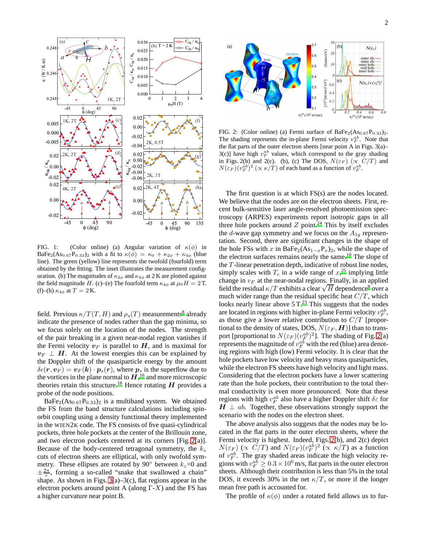

<span id="page-3-0"></span>FIG. 1: (Color online) (a) Angular variation of  $\kappa(\phi)$  in BaFe<sub>2</sub>(As<sub>0.67</sub>P<sub>0.33</sub>)<sub>2</sub> with a fit to  $\kappa(\phi) = \kappa_0 + \kappa_{2\phi} + \kappa_{4\phi}$  (blue line). The green (yellow) line represents the twofold (fourfold) term obtained by the fitting. The inset illustrates the measurement configuration. (b) The magnitudes of  $\kappa_{2\phi}$  and  $\kappa_{4\phi}$  at 2 K are plotted against the field magnitude H. (c)–(e) The fourfold term  $\kappa_{4\phi}$  at  $\mu_0 H = 2$  T. (f)–(h)  $\kappa_{4\phi}$  at  $T = 2$  K.

field. Previous  $\kappa/T(T,H)$  and  $\rho_s(T)$  measurements<sup>[8](#page-5-7)</sup> already indicate the presence of nodes rather than the gap minima, so we focus solely on the location of the nodes. The strength of the pair breaking in a given near-nodal region vanishes if the Fermi velocity  $v_F$  is parallel to  $H$ , and is maximal for  $v_F \perp H$ . At the lowest energies this can be explained by the Doppler shift of the quasiparticle energy by the amount  $\delta \epsilon(\mathbf{r}, \mathbf{v}_F) = \mathbf{v}_F(\mathbf{k}) \cdot \mathbf{p}_s(\mathbf{r})$ , where  $\mathbf{p}_s$  is the superflow due to the vortices in the plane normal to  $H$ , <sup>[16](#page-5-14)</sup> and more microscopic theories retain this structure.<sup>[18](#page-5-17)</sup> Hence rotating  $H$  provides a probe of the node positions.

 $BaFe<sub>2</sub>(As<sub>0.67</sub>P<sub>0.33</sub>)<sub>2</sub>$  is a multiband system. We obtained the FS from the band structure calculations including spinorbit coupling using a density functional theory implemented in the WIEN2K code. The FS consists of five quasi-cylindrical pockets, three hole pockets at the center of the Brillouin zone, and two electron pockets centered at its corners [Fig. [2\(](#page-3-1)a)]. Because of the body-centered tetragonal symmetry, the  $k_z$ cuts of electron sheets are elliptical, with only twofold symmetry. These ellipses are rotated by 90 $^{\circ}$  between  $k_z$ =0 and  $\pm \frac{2\pi}{c}$ , forming a so-called "snake that swallowed a chain" shape. As shown in Figs.  $3(a) - 3(c)$  $3(a) - 3(c)$  $3(a) - 3(c)$ , flat regions appear in the electron pockets around point A (along  $\Gamma$ -X) and the FS has a higher curvature near point B.



<span id="page-3-1"></span>FIG. 2: (Color online) (a) Fermi surface of  $BaFe<sub>2</sub>(As<sub>0.67</sub>P<sub>0.33</sub>)<sub>2</sub>$ . The shading represents the in-plane Fermi velocity  $v_F^{ab}$ . Note that the flat parts of the outer electron sheets [near point A in Figs. 3(a)–  $3(c)$ ] have high  $v_F^{ab}$  values, which correspond to the gray shading in Figs. 2(b) and 2(c). (b), (c) The DOS,  $N(\varepsilon_F)$  ( $\propto C/T$ ) and  $N(\varepsilon_F)(v_F^{ab})^2 \propto \kappa/T$  of each band as a function of  $v_F^{ab}$ .

The first question is at which FS(s) are the nodes located. We believe that the nodes are on the electron sheets. First, recent bulk-sensitive laser angle-resolved photoemission spectroscopy (ARPES) experiments report isotropic gaps in all three hole pockets around  $Z$  point[.](#page-5-19)<sup>24</sup> This by itself excludes the d-wave gap symmetry and we focus on the  $A_{1g}$  representation. Second, there are significant changes in the shape of the hole FSs with x in BaFe<sub>2</sub>(As<sub>1−x</sub>P<sub>x</sub>)<sub>2</sub>, while the shape of the electron surfaces remains nearly the same.<sup>[10](#page-5-9)</sup> The slope of the  $T$ -linear penetration depth, indicative of robust line nodes, simply scales with  $T_c$  in a wide range of  $x<sub>1</sub><sup>25</sup>$  $x<sub>1</sub><sup>25</sup>$  $x<sub>1</sub><sup>25</sup>$  implying little change in  $v_F$  at the near-nodal regions. Finally, in an applied field the residual  $\kappa/T$  exhibits a clear  $\sqrt{H}$  dependence<sup>[8](#page-5-7)</sup> over a much wider range than the residual specific heat  $C/T$ , which looks nearly linear above  $5 T<sup>23</sup>$  $5 T<sup>23</sup>$  $5 T<sup>23</sup>$ . This suggests that the nodes are located in regions with higher in-plane Fermi velocity  $v_F^{ab}$ , as those give a lower relative contribution to  $C/T$  [proportional to the density of states, DOS,  $N(\varepsilon_F, H)$ ] than to transport [proportional to  $N(\varepsilon_F)(v_F^{ab})^2$ ]. The shading of Fig. [2\(](#page-3-1)a) represents the magnitude of  $v_F^{ab}$  with the red (blue) area denoting regions with high (low) Fermi velocity. It is clear that the hole pockets have low velocity and heavy mass quasiparticles, while the electron FS sheets have high velocity and light mass. Considering that the electron pockets have a lower scattering rate than the hole pockets, their contribution to the total thermal conductivity is even more pronounced. Note that these regions with high  $v_F^{ab}$  also have a higher Doppler shift  $\delta \varepsilon$  for  $H \perp ab$ . Together, these observations strongly support the scenario with the nodes on the electron sheet.

The above analysis also suggests that the nodes may be located in the flat parts in the outer electron sheets, where the Fermi velocity is highest. Indeed, Figs. [2\(](#page-3-1)b), and 2(c) depict  $N(\varepsilon_F)$  ( $\propto C/T$ ) and  $N(\varepsilon_F)(v_F^{ab})^2$  ( $\propto \kappa/T$ ) as a function of  $v_F^{ab}$ . The gray shaded areas indicate the high velocity regions with  $v_F^{ab} \ge 0.3 \times 10^6$  m/s, flat parts in the outer electron sheets. Although their contribution is less than 5% in the total DOS, it exceeds 30% in the net  $\kappa/T$ , or more if the longer mean free path is accounted for.

The profile of  $\kappa(\phi)$  under a rotated field allows us to fur-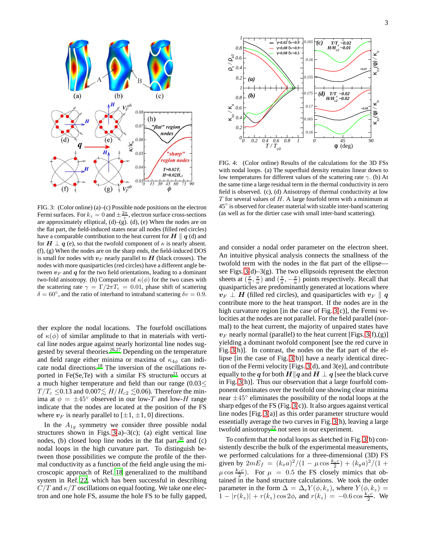

<span id="page-4-0"></span>FIG. 3: (Color online) (a)–(c) Possible node positions on the electron Fermi surfaces. For  $k_z = 0$  and  $\pm \frac{2\pi}{c}$ , electron surface cross-sections are approximately elliptical,  $(d)$ – $(g)$ .  $(d)$ ,  $(e)$  When the nodes are on the flat part, the field-induced states near all nodes (filled red circles) have a comparable contribution to the heat current for  $H \parallel q$  (d) and for  $H \perp q$  (e), so that the twofold component of  $\kappa$  is nearly absent. (f), (g) When the nodes are on the sharp ends, the field-induced DOS is small for nodes with  $v_F$  nearly parallel to  $H$  (black crosses). The nodes with more quasiparticles (red circles) have a different angle between  $v_F$  and  $q$  for the two field orientations, leading to a dominant two-fold anisotropy. (h) Comparison of  $\kappa(\phi)$  for the two cases with the scattering rate  $\gamma = \Gamma/2\pi T_c = 0.01$ , phase shift of scattering  $\delta = 60^{\circ}$ , and the ratio of interband to intraband scattering  $\delta v = 0.9$ .

ther explore the nodal locations. The fourfold oscillations of  $\kappa(\phi)$  of similar amplitude to that in materials with vertical line nodes argue against nearly horizontal line nodes sug-gested by several theories.<sup>[26](#page-5-21)[,27](#page-5-22)</sup> Depending on the temperature and field range either minima or maxima of  $\kappa_{4\phi}$  can indicate nodal directions.[18](#page-5-17) The inversion of the oscillations re-ported in Fe(Se,Te) with a similar FS structure<sup>[21](#page-5-23)</sup> occurs at a much higher temperature and field than our range (0.03≤  $T/T_c \leq 0.13$  and  $0.007 \lesssim H/H_{c2} \lesssim 0.06$ ). Therefore the minima at  $\phi = \pm 45^{\circ}$  observed in our low-T and low-H range indicate that the nodes are located at the position of the FS where  $v_F$  is nearly parallel to  $[\pm 1, \pm 1, 0]$  directions.

In the  $A_{1g}$  symmetry we consider three possible nodal structures shown in Figs.  $3(a)-3(c)$ ; (a) eight vertical line nodes, (b) closed loop line nodes in the flat part, $30$  and (c) nodal loops in the high curvature part. To distinguish between those possibilities we compute the profile of the thermal conductivity as a function of the field angle using the microscopic approach of Ref. [18](#page-5-17) generalized to the multiband system in Ref. [22](#page-5-15), which has been successful in describing  $C/T$  and  $\kappa/T$  oscillations on equal footing. We take one electron and one hole FS, assume the hole FS to be fully gapped,



<span id="page-4-1"></span>FIG. 4: (Color online) Results of the calculations for the 3D FSs with nodal loops. (a) The superfluid density remains linear down to low temperatures for different values of the scattering rate  $\gamma$ . (b) At the same time a large residual term in the thermal conductivity in zero field is observed. (c), (d) Anisotropy of thermal conductivity at low  $T$  for several values of  $H$ . A large fourfold term with a minimum at 45◦ is observed for cleaner material with sizable inter-band scattering (as well as for the dirtier case with small inter-band scattering).

and consider a nodal order parameter on the electron sheet. An intuitive physical analysis connects the smallness of the twofold term with the nodes in the flat part of the ellipse see Figs.  $3(d) - 3(g)$  $3(d) - 3(g)$  $3(d) - 3(g)$ . The two ellipsoids represent the electron sheets at  $(\frac{\pi}{a}, \frac{\pi}{a})$  and  $(\frac{\pi}{a}, -\frac{\pi}{a})$  points respectively. Recall that quasiparticles are predominantly generated at locations where  $v_F \perp H$  (filled red circles), and quasiparticles with  $v_F \parallel q$ contribute more to the heat transport. If the nodes are in the high curvature region [in the case of Fig. [3\(](#page-4-0)c)], the Fermi velocities at the nodes are not parallel. For the field parallel (normal) to the heat current, the majority of unpaired states have  $v_F$  nearly normal (parallel) to the heat current [Figs. [3\(](#page-4-0)f),(g)] yielding a dominant twofold component [see the red curve in Fig. [3\(](#page-4-0)h)]. In contrast, the nodes on the flat part of the ellipse [in the case of Fig. [3\(](#page-4-0)b)] have a nearly identical direction of the Fermi velocity [Figs.  $3(d)$ , and  $3(e)$ ], and contribute equally to the q for both  $H||q$  and  $H \perp q$  [see the black curve in Fig. [3\(](#page-4-0)h)]. Thus our observation that a large fourfold component dominates over the twofold one showing clear minima near  $\pm 45^\circ$  eliminates the possibility of the nodal loops at the sharp edges of the FS (Fig. [3\(](#page-4-0)c)). It also argues against vertical line nodes [Fig. [3\(](#page-4-0)a)] as this order parameter structure would essentially average the two curves in Fig. [3\(](#page-4-0)h), leaving a large twofold anisotropy<sup>[22](#page-5-15)</sup> not seen in our experiment.

To confirm that the nodal loops as sketched in Fig. [3\(](#page-4-0)b) consistently describe the bulk of the experimental measurements, we performed calculations for a three-dimensional (3D) FS given by  $2mE_f = (k_x a)^2/(1 - \mu \cos \frac{k_z c}{2}) + (k_y a)^2/(1 +$  $(\mu \cos \frac{k_z c}{2})$ . For  $\mu = 0.5$  the FS closely mimics that obtained in the band structure calculations. We took the order parameter in the form  $\Delta = \Delta_e Y(\phi, k_z)$ , where  $Y(\phi, k_z)$  =  $1 - |r(k_z)| + r(k_z) \cos 2\phi$ , and  $r(k_z) = -0.6 \cos \frac{k_z c}{2}$ . We